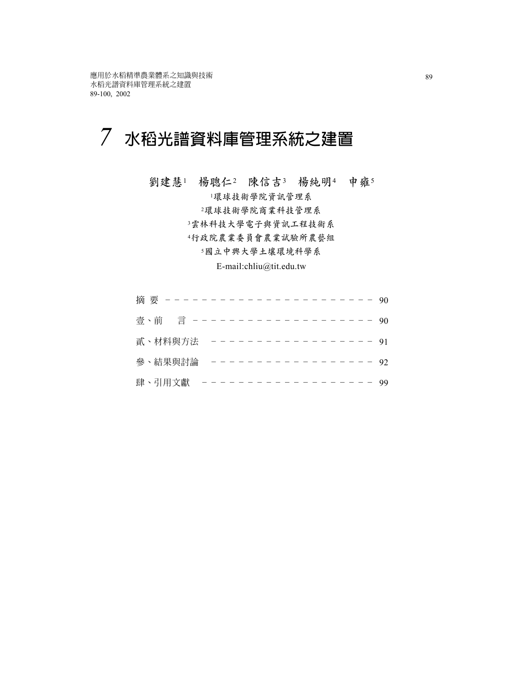# **水稻光譜資料庫管理系統之建置** *7*

**劉建慧**<sup>1</sup> **楊聰仁**<sup>2</sup> **陳信吉**<sup>3</sup> **楊純明**<sup>4</sup> **申雍**<sup>5</sup>

**環球技術學院資訊管理系 環球技術學院商業科技管理系 雲林科技大學電子與資訊工程技術系 行政院農業委員會農業試驗所農藝組 國立中興大學土壤環境科學系**

E-mail:chliu@tit.edu.tw

|  | 摘要 ---    |  |  |  |  |  |  |  |  |  |  | $-90$ |
|--|-----------|--|--|--|--|--|--|--|--|--|--|-------|
|  | 壹、前 言 --- |  |  |  |  |  |  |  |  |  |  | -90   |
|  | 貳、材料與方法   |  |  |  |  |  |  |  |  |  |  | -- 91 |
|  | 參、結果與討論   |  |  |  |  |  |  |  |  |  |  | -92   |
|  | 肆、引用文獻    |  |  |  |  |  |  |  |  |  |  | 99    |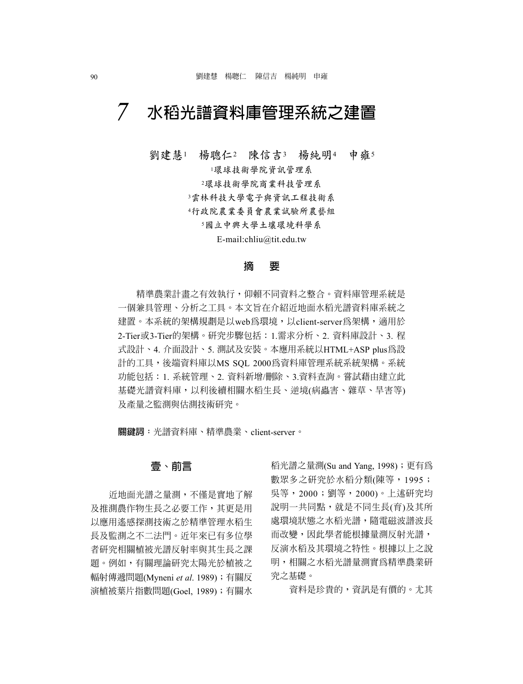#### **水稻光譜資料庫管理系統之建置** *7*

**劉建慧**<sup>1</sup> **楊聰仁**<sup>2</sup> **陳信吉**<sup>3</sup> **楊純明**<sup>4</sup> **申雍**<sup>5</sup>

<sup>1</sup>**環球技術學院資訊管理系**

<sup>2</sup>**環球技術學院商業科技管理系**

<sup>3</sup>**雲林科技大學電子與資訊工程技術系**

<sup>4</sup>**行政院農業委員會農業試驗所農藝組**

<sup>5</sup>**國立中興大學土壤環境科學系**

E-mail:chliu@tit.edu.tw

#### **摘 要**

精準農業計畫之有效執行,仰賴不同資料之整合。資料庫管理系統是 一個兼具管理、分析之工具。本文旨在介紹近地面水稻光譜資料庫系統之 建置。本系統的架構規劃是以web為環境,以client-server為架構,適用於 2-Tier或3-Tier的架構。研究步驟包括:1.需求分析、2. 資料庫設計、3. 程 式設計、4. 介面設計、5. 測試及安裝。本應用系統以HTML+ASP plus為設 計的工具,後端資料庫以MS SOL 2000為資料庫管理系統系統架構。系統 功能包括:1. 系統管理、2. 資料新增/刪除、3.資料查詢。嘗試藉由建立此 基礎光譜資料庫,以利後續相關水稻生長、逆境(病蟲害、雜草、旱害等) 及產量之監測與估測技術研究。

**關鍵詞:**光譜資料庫、精準農業、client-server。

### **壹、前言**

近地面光譜之量測,不僅是實地了解 及推測農作物生長之必要工作,其更是用 以應用遙感探測技術之於精準管理水稻生 長及監測之不二法門。近年來已有多位學 者研究相關植被光譜反射率與其生長之課 題。例如,有關理論研究太陽光於植被之 輻射傳遞問題(Myneni *et al*. 1989);有關反 演植被葉片指數問題(Goel, 1989);有關水

稻光譜之量測(Su and Yang, 1998);更有為 數眾多之研究於水稻分類(陳等,1995; 吳等,2000;劉等,2000)。上述研究均 說明一共同點,就是不同生長(育)及其所 處環境狀態之水稻光譜,隨電磁波譜波長 而改變,因此學者能根據量測反射光譜, 反演水稻及其環境之特性。根據以上之說 明,相關之水稻光譜量測實為精準農業研 究之基礎。

資料是珍貴的,資訊是有價的。尤其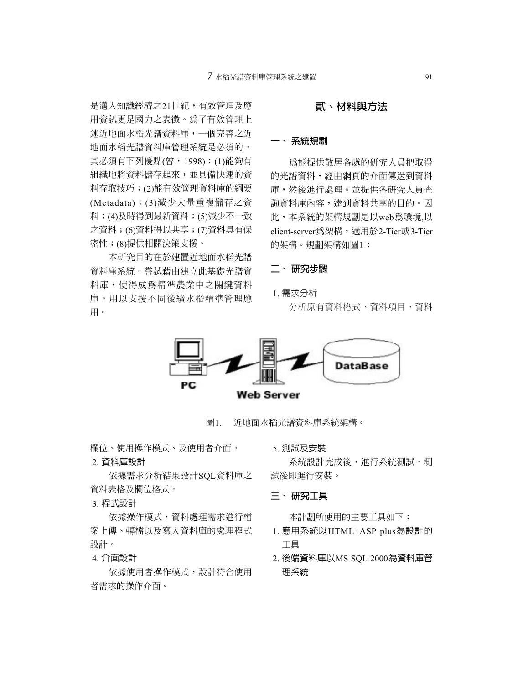是邁入知識經濟之21世紀,有效管理及應 用資訊更是國力之表徵。為了有效管理上 述近地面水稻光譜資料庫,一個完善之近 地面水稻光譜資料庫管理系統是必須的。 其必須有下列優點(曾,1998):(1)能夠有 組織地將資料儲存起來,並具備快速的資 料存取技巧;(2)能有效管理資料庫的綱要 (Metadata);(3)減少大量重複儲存之資 料;(4)及時得到最新資料;(5)減少不一致 之資料;(6)資料得以共享;(7)資料具有保 密性;(8)提供相關決策支援。

本研究目的在於建置近地面水稻光譜 資料庫系統。嘗試藉由建立此基礎光譜資 料庫,使得成為精準農業中之關鍵資料 庫,用以支援不同後續水稻精準管理應 用。

# **貳、材料與方法**

#### **一、 系統規劃**

為能提供散居各處的研究人員把取得 的光譜資料,經由網頁的介面傳送到資料 庫,然後進行處理。並提供各研究人員查 詢資料庫內容,達到資料共享的目的。因 此,本系統的架構規劃是以web為環境,以 client-server為架構,適用於2-Tier或3-Tier 的架構。規劃架構如圖1:

#### **二、 研究步驟**

1. 需求分析

分析原有資料格式、資料項目、資料



圖1. 近地面水稻光譜資料庫系統架構。

欄位、使用操作模式、及使用者介面。

#### 2. 資料庫設計

依據需求分析結果設計SQL資料庫之 資料表格及欄位格式。

3. 程式設計

依據操作模式,資料處理需求進行檔 案上傳、轉檔以及寫入資料庫的處理程式 設計。

#### 4. 介面設計

依據使用者操作模式,設計符合使用 者需求的操作介面。

5. 測試及安裝

系統設計完成後,進行系統測試,測 試後即進行安裝。

#### **三、 研究工具**

本計劃所使用的主要工具如下:

- 1. 應用系統以HTML+ASP plus為設計的 工具
- 2. 後端資料庫以MS SQL 2000為資料庫管 理系統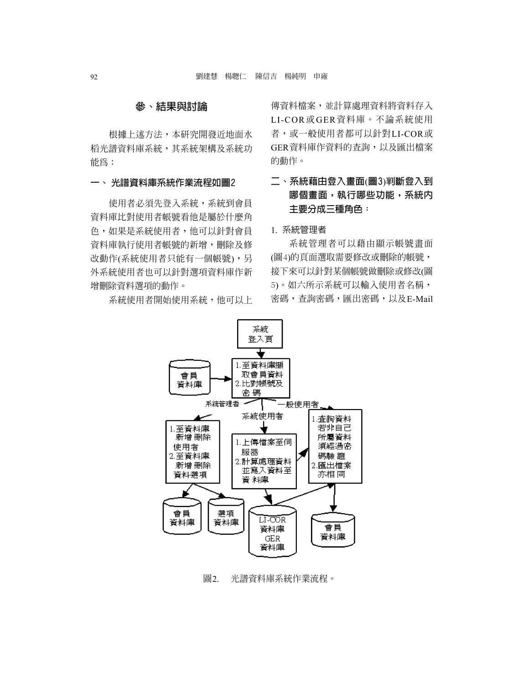#### **參、結果與討論**

根據上述方法,本研究開發近地面水 稻光譜資料庫系統,其系統架構及系統功 能為:

#### **一、 光譜資料庫系統作業流程如圖2**

使用者必須先登入系統,系統到會員 資料庫比對使用者帳號看他是屬於什麼角 色,如果是系統使用者,他可以針對會員 資料庫執行使用者帳號的新增,刪除及修 改動作(系統使用者只能有一個帳號),另 外系統使用者也可以針對選項資料庫作新 增刪除資料選項的動作。

系統使用者開始使用系統,他可以上

傳資料檔案,並計算處理資料將資料存入 LI-COR或GER資料庫。不論系統使用 者,或一般使用者都可以針對LI-COR或 GER資料庫作資料的查詢,以及匯出檔案 的動作。

# **二、系統藉由登入畫面**(**圖3**)**判斷登入到 哪個畫面,執行哪些功能,系統內 主要分成三種角色﹕**

#### 1. 系統管理者

系統管理者可以藉由顯示帳號畫面 (圖4)的頁面選取需要修改或刪除的帳號, 接下來可以針對某個帳號做刪除或修改(圖 5)。如六所示系統可以輸入使用者名稱, 密碼,查詢密碼,匯出密碼,以及E-Mail



#### 圖2. 光譜資料庫系統作業流程。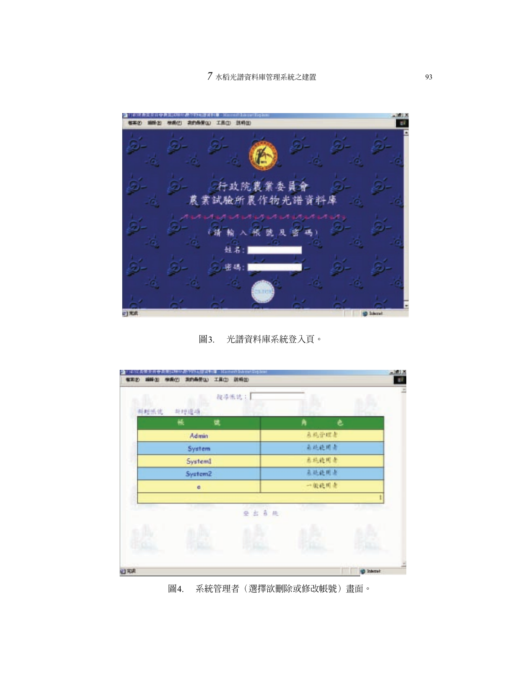

圖3. 光譜資料庫系統登入頁。



圖4. 系統管理者(選擇欲刪除或修改帳號)畫面。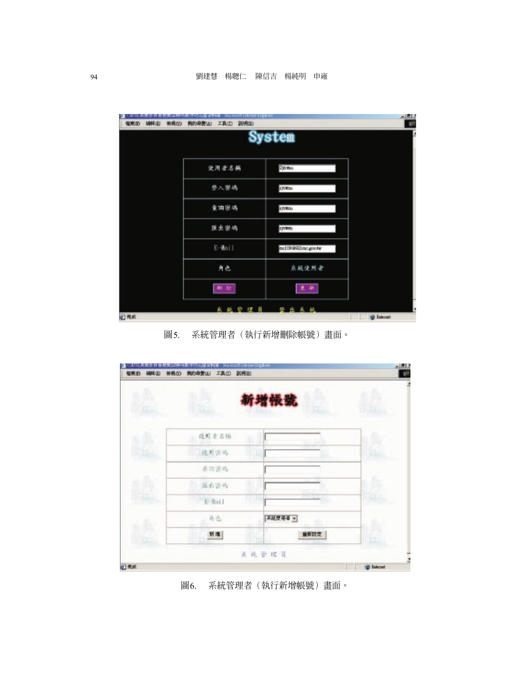| 预确仪<br>柳树田<br>福東山 | <b>判的母亲(A)</b><br>工具(I) 款项(I) |                  | $-1012$           |
|-------------------|-------------------------------|------------------|-------------------|
|                   |                               | System           |                   |
|                   | 使用者名稱                         | <b>System</b>    |                   |
|                   | 登入窗碼                          | 170 Em           |                   |
|                   | 童調密碼                          | ayama.           |                   |
|                   | 医出密码                          | system.          |                   |
|                   | E-Mail                        | nd08901nc.gov.hr |                   |
|                   | 角色                            | 系統使用者            |                   |
|                   | <b>RE 72:</b>                 | 更新               |                   |
| 四光的               |                               | 系统管理页 登出系统       | <b>D</b> Internet |

圖5. 系統管理者(執行新增刪除帳號)畫面。

|   |       | 新增帳號    |  |
|---|-------|---------|--|
|   |       |         |  |
|   | 德则者名称 |         |  |
|   | 能差空码  |         |  |
|   | 直线资码  |         |  |
|   | 延右世界  |         |  |
|   | 后面计   |         |  |
| B | 商店    | 不証反用者 = |  |
|   | 新港    | 重新設定    |  |

圖6. 系統管理者(執行新增帳號)畫面。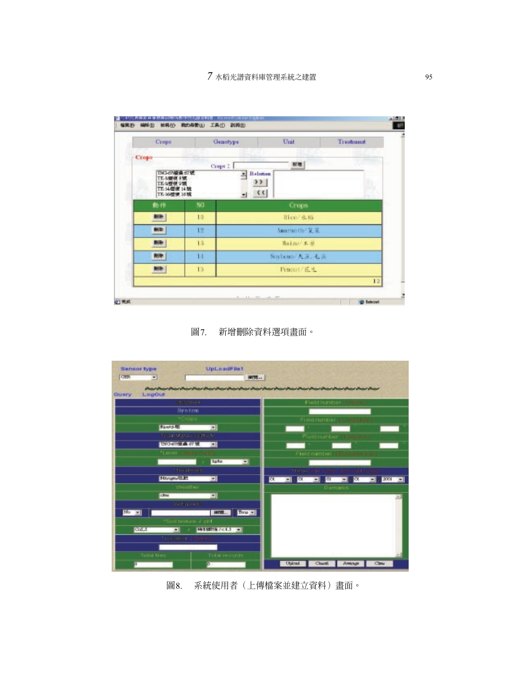| Crops                                                                 |     | Genotype | Unit                         | Treatment |  |  |
|-----------------------------------------------------------------------|-----|----------|------------------------------|-----------|--|--|
| Crops                                                                 |     | Crops 2  | 材地                           |           |  |  |
| TN3-d7模像 67键<br>TK-R细模主號<br>TE-2整模 9端<br>TE 14/歪便 14號<br>TE-16/愛愛 16號 |     | ۰        | <b>Balanan</b><br>3 F  <br>c |           |  |  |
| 動作                                                                    | NO. |          | <b>Crops</b>                 |           |  |  |
| 田所                                                                    | to. | 旧山 水棉    |                              |           |  |  |
| 田町                                                                    | 1%  |          | Americate 先差                 |           |  |  |
| <b>Hill</b>                                                           | 13  |          | 海门加厂系票                       |           |  |  |
| <b>HIP</b>                                                            | и   |          | Soybean/天皇, 七县               |           |  |  |
| NH                                                                    | 15  |          | Peanut/花生                    |           |  |  |
|                                                                       |     |          |                              | 12        |  |  |

圖7. 新增刪除資料選項畫面。



圖8. 系統使用者(上傳檔案並建立資料)畫面。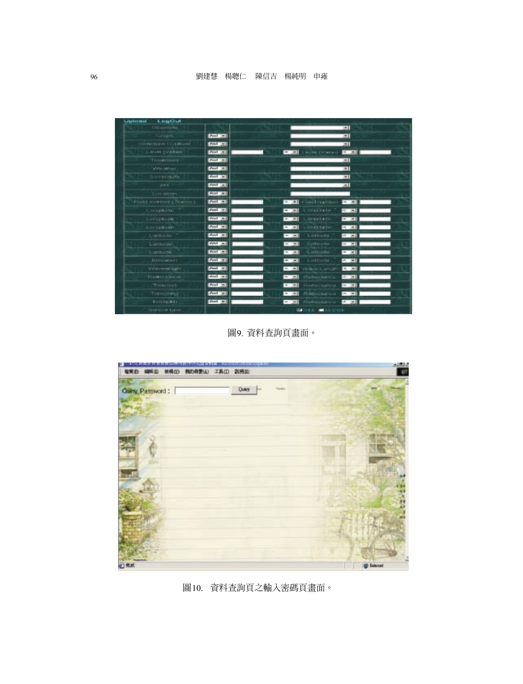| Lipicard<br>LagOut             |                        |              |                     |              |  |
|--------------------------------|------------------------|--------------|---------------------|--------------|--|
| <b>ISD German</b>              |                        |              |                     | ᅴ            |  |
| <b>Crops</b>                   | $ J\phi\phi  = \pi$    |              |                     | 킈            |  |
| infacility pain of Conditional | [44]                   |              |                     | 킈            |  |
| Level (Unitary)                | [Fe/H]                 | $-1$         | Licolat (Vision)    | $< -1$       |  |
| Treatment                      | $[444 - 1]$            |              |                     | ᅴ            |  |
| <b>Welcommunity</b>            | Paul #1                |              |                     | 回            |  |
| Sigitte stuffe                 | deal will              |              |                     | 司            |  |
| $2 + 4$                        | $[484 - 1]$            |              |                     | ᅬ            |  |
| Loratton                       | P(A A)                 |              |                     |              |  |
| Field number ( Name)           | $Poul\_m$              | $-121$       | Find readbor.       | $-99.21$     |  |
| Longitude                      | $ $ dual $ $ $\pi$ $ $ | $-1 - 1$     | Lincinate           | $-100$       |  |
| Longitude                      | $ d$ and $ $ and $ $   | $= 100$      | Longitade           | $+1 + 1$     |  |
| <b>Longitude</b>               | Post #1                | $-1 - 1$     | Libricative         | <b>B</b> 21  |  |
| Lertificiales                  | deal at                | $-1 - 1$     | Lattade             | $-1$         |  |
| Luthucky.                      | $ 4453\rangle =$       | $= -20.1$    | Listhmatic          | $= 1 + 1$    |  |
| Latitude                       | $P(n) = 1$             | $-11$        | Listude             | $ E  =  E $  |  |
| Elevation.                     | $\sqrt{2}$             | $-1 - 1$     | Lintisde            | (1, 1, 1)    |  |
| Winterverseer (GHT)            | $\sigma$ and $\pi\pi$  | $-14.1$      | Wilders Lamph       | 4.14         |  |
| <b>Fiellectores</b>            | $ dual = 1$            | $-1 - 1$     | flightecherics      | 50.000       |  |
| Time tyst                      | [444]                  | (1, 1, 1, 1) | Reflectance         | $16.3 + 1.0$ |  |
| Timestmins)                    | $[400]$ $\pm$          | $-10$        | Rétectance          | $-100$       |  |
| Temin(did)                     | deal m                 | $-1 - 1$     | <b>Elettectors</b>  | <b>ESSED</b> |  |
| <b>BRYSOE IVOR</b>             |                        |              | <b>DESK BALLOON</b> |              |  |

圖9. 資料查詢頁畫面。



圖10. 資料查詢頁之輸入密碼頁畫面。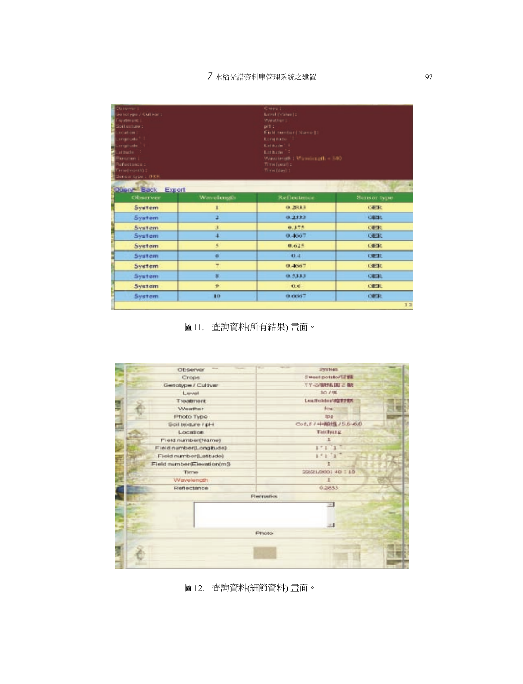| Dissenver 1-<br>Bernotype J Cultivant<br><b>Fourtheoid C</b><br>contractor<br>nowhere?<br>arraniudo <sup>m</sup> 1<br>Lenghode <sup>11</sup><br>Latitude 11<br>Elevation 1<br>Reflections u.s.<br>Terrebrightfü :<br>Sansor type : (FKR)<br>Query <sup>4</sup> Back Export |             | Cises 1:<br>Lawal (Value) :<br>Weather I.<br>pH c<br>Field number   Name   1<br>Longtone <sup>13</sup><br>Earlitude 1.2<br>Latitude <sup>21</sup><br>Wasslength : Wawdength = 340<br>Time (year) :<br>Time (day) 1 |              |
|----------------------------------------------------------------------------------------------------------------------------------------------------------------------------------------------------------------------------------------------------------------------------|-------------|--------------------------------------------------------------------------------------------------------------------------------------------------------------------------------------------------------------------|--------------|
| Observer                                                                                                                                                                                                                                                                   | Waye length | Reflectance                                                                                                                                                                                                        | Sensor type  |
| System                                                                                                                                                                                                                                                                     | 1           | 0.2833                                                                                                                                                                                                             | <b>GER</b>   |
| System                                                                                                                                                                                                                                                                     |             | 0.2333                                                                                                                                                                                                             | <b>CHILE</b> |
| <b>System</b>                                                                                                                                                                                                                                                              | з           | 0.375                                                                                                                                                                                                              | <b>GER</b>   |
| System                                                                                                                                                                                                                                                                     | 4           | 0.4667                                                                                                                                                                                                             | <b>GER</b>   |
| System                                                                                                                                                                                                                                                                     | 5           | 0.625                                                                                                                                                                                                              | <b>GER</b>   |
| System                                                                                                                                                                                                                                                                     | G.          | 0.4                                                                                                                                                                                                                | <b>GER</b>   |
| System                                                                                                                                                                                                                                                                     | y.          | 0.4667                                                                                                                                                                                                             | <b>GER</b>   |
| System                                                                                                                                                                                                                                                                     | 耳           | 0.5333                                                                                                                                                                                                             | <b>GER</b>   |
| System                                                                                                                                                                                                                                                                     | <b>O</b>    | 0.6                                                                                                                                                                                                                | GER          |
| System                                                                                                                                                                                                                                                                     | 10          | 0.6667                                                                                                                                                                                                             | <b>CIER</b>  |
|                                                                                                                                                                                                                                                                            |             |                                                                                                                                                                                                                    |              |

圖11. 查詢資料(所有結果) 畫面。

|           | <b>Show</b><br>Observer    | <b>Manager</b> | <b>Window</b>   | 2укиев               |  |
|-----------|----------------------------|----------------|-----------------|----------------------|--|
|           | Crops                      |                |                 | Sweet potsto/17 ##   |  |
|           | Genotype / Cultiver        |                |                 | TY-2/BANA DE 2 BA    |  |
|           | Level                      |                |                 | 30 / 张               |  |
|           | Treatment                  |                |                 | Leaffolder/相望管子管理    |  |
|           | <b>Weather</b>             |                |                 | four.                |  |
| $14 - 14$ | Photo Type                 |                |                 | <b>Ipp</b>           |  |
|           | Soil texture / pH          |                |                 | CofLE / 中国社区/5.6-6.0 |  |
|           | Location.                  |                |                 | <b>Taichung</b>      |  |
|           | FIRM number(Name)          |                |                 |                      |  |
|           | Field number(Longitude)    |                |                 | $1 - 1$ $1 -$        |  |
|           | Field number(Latitude)     |                |                 | $151.1*$             |  |
|           | Field number(Elevation(m)) |                |                 | ı                    |  |
|           | Tirries                    |                |                 | 22/21/2001 40 110    |  |
|           | Wavelength                 |                |                 |                      |  |
|           | Reflectionce               |                |                 | 0.2833               |  |
|           |                            |                | <b>Remation</b> |                      |  |
|           |                            |                |                 | w.                   |  |
|           |                            |                |                 | - 1                  |  |
|           |                            |                | Frioto.         |                      |  |
|           |                            |                |                 |                      |  |

圖12. 查詢資料(細節資料) 畫面。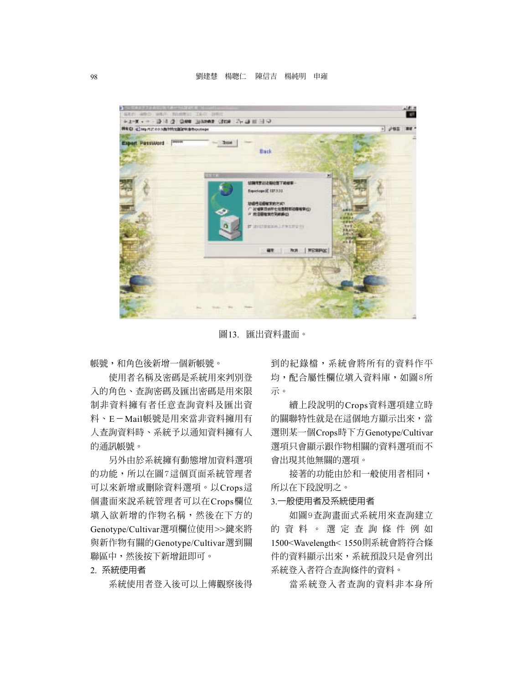

圖13. 匯出資料畫面。

帳號,和角色後新增一個新帳號。

使用者名稱及密碼是系統用來判別登 入的角色、查詢密碼及匯出密碼是用來限 制非資料擁有者任意查詢資料及匯出資 料、E-Mail帳號是用來當非資料擁用有 人查詢資料時、系統予以通知資料擁有人 的通訊帳號。

另外由於系統擁有動態增加資料選項 的功能,所以在圖7這個頁面系統管理者 可以來新增或刪除資料選項。以Crops這 個畫面來說系統管理者可以在Crops欄位 填入欲新增的作物名稱,然後在下方的 Genotype/Cultivar選項欄位使用>>鍵來將 與新作物有關的Genotype/Cultivar選到關 聯區中,然後按下新增鈕即可。

2. 系統使用者

系統使用者登入後可以上傳觀察後得

到的紀錄檔,系統會將所有的資料作平 均,配合屬性欄位填入資料庫,如圖8所 示。

續上段說明的Crops資料選項建立時 的關聯特性就是在這個地方顯示出來,當 選則某一個Crops時下方Genotype/Cultivar 選項只會顯示跟作物相關的資料選項而不 會出現其他無關的選項。

接著的功能由於和一般使用者相同, 所以在下段說明之。

#### 3.一般使用者及系統使用者

如圖9查詢畫面式系統用來查詢建立 的資料。選定查詢條件例如 1500<Wavelength< 1550則系統會將符合條 件的資料顯示出來,系統預設只是會列出 系統登入者符合查詢條件的資料。

當系統登入者查詢的資料非本身所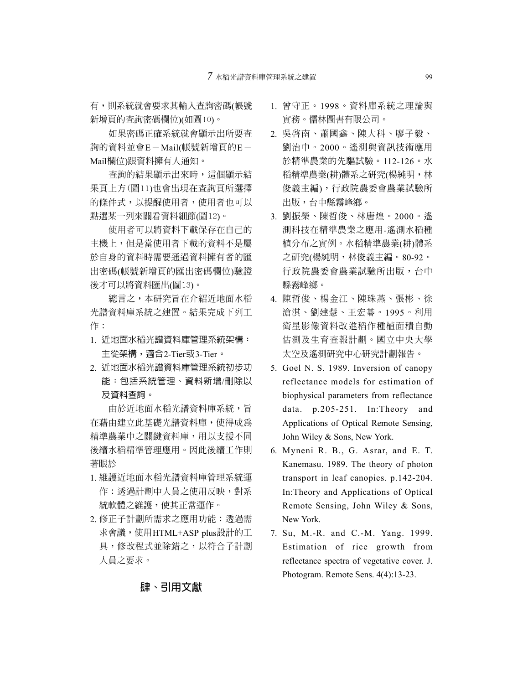有,則系統就會要求其輸入查詢密碼(帳號 新增頁的查詢密碼欄位)(如圖10)。

如果密碼正確系統就會顯示出所要查 詢的資料並會E-Mail(帳號新增頁的E- Mail欄位)跟資料擁有人通知。

查詢的結果顯示出來時,這個顯示結 果頁上方(圖11)也會出現在查詢頁所選擇 的條件式,以提醒使用者,使用者也可以 點選某一列來關看資料細節(圖12)。

使用者可以將資料下載保存在自己的 主機上,但是當使用者下載的資料不是屬 於自身的資料時需要通過資料擁有者的匯 出密碼(帳號新增頁的匯出密碼欄位)驗證 後才可以將資料匯出(圖13)。

總言之,本研究旨在介紹近地面水稻 光譜資料庫系統之建置。結果完成下列工 作:

- 1. 近地面水稻光譜資料庫管理系統架構: 主從架構,適合2-Tier或3-Tier。
- 2. 近地面水稻光譜資料庫管理系統初步功 能:包括系統管理、資料新增/刪除以 及資料查詢。

由於近地面水稻光譜資料庫系統, 旨 在藉由建立此基礎光譜資料庫,使得成為 精準農業中之關鍵資料庫,用以支援不同 後續水稻精準管理應用。因此後續工作則 著眼於

- 1. 維護近地面水稻光譜資料庫管理系統運 作:透過計劃中人員之使用反映,對系 統軟體之維護,使其正常運作。
- 2. 修正子計劃所需求之應用功能:透過需 求會議,使用HTML+ASP plus設計的工 具,修改程式並除錯之,以符合子計劃 人員之要求。
- 1. 曾守正。1998。資料庫系統之理論與 實務。儒林圖書有限公司。
- 2. 吳啟南、蕭國鑫、陳大科、廖子毅、 劉治中。2000。遙測與資訊技術應用 於精準農業的先驅試驗。112-126。水 稻精準農業(耕)體系之研究(楊純明,林 俊義主編),行政院農委會農業試驗所 出版,台中縣霧峰鄉。
- 3. 劉振榮、陳哲俊、林唐煌。2000。遙 測科技在精準農業之應用-遙測水稻種 植分布之實例。水稻精準農業(耕)體系 之研究(楊純明,林俊義主編。80-92。 行政院農委會農業試驗所出版,台中 縣霧峰鄉。
- 4. 陳哲俊、楊金江、陳珠燕、張彬、徐 滄淇、劉建慧、王宏碁。1995。利用 衛星影像資料改進稻作種植面積自動 估測及生育查報計劃。國立中央大學 太空及遙測研究中心研究計劃報告。
- 5. Goel N. S. 1989. Inversion of canopy reflectance models for estimation of biophysical parameters from reflectance data. p.205-251. In:Theory and Applications of Optical Remote Sensing, John Wiley & Sons, New York.
- 6. Myneni R. B., G. Asrar, and E. T. Kanemasu. 1989. The theory of photon transport in leaf canopies. p.142-204. In:Theory and Applications of Optical Remote Sensing, John Wiley & Sons, New York.
- 7. Su, M.-R. and C.-M. Yang. 1999. Estimation of rice growth from reflectance spectra of vegetative cover. J. Photogram. Remote Sens. 4(4):13-23.

# **肆、引用文獻**